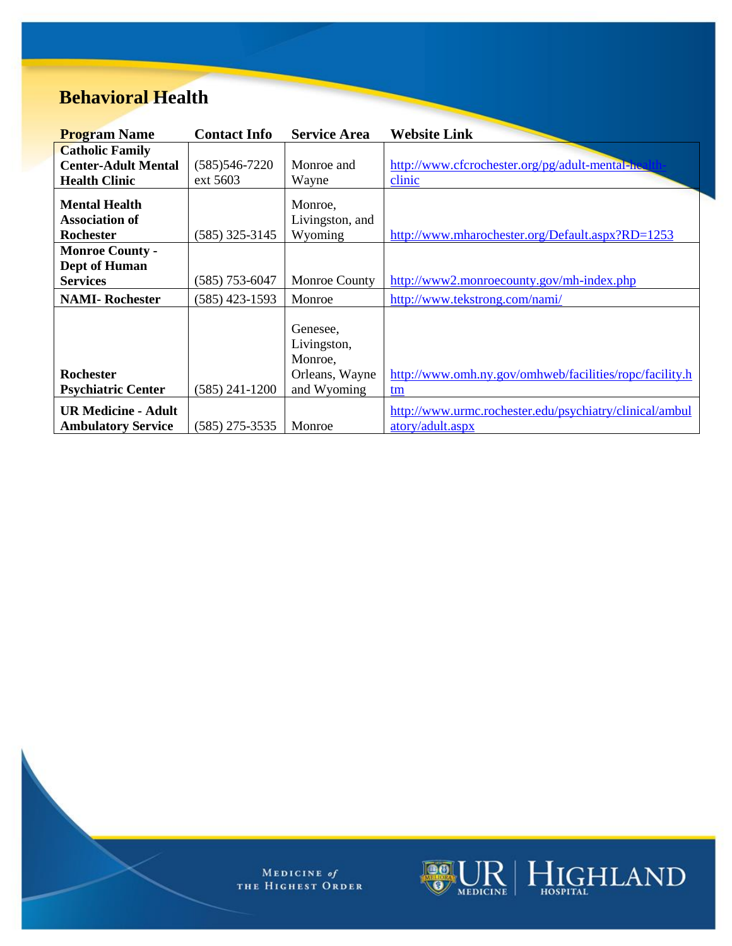## **Behavioral Health**

| <b>Program Name</b>        | <b>Contact Info</b> | <b>Service Area</b>                | <b>Website Link</b>                                     |
|----------------------------|---------------------|------------------------------------|---------------------------------------------------------|
| <b>Catholic Family</b>     |                     |                                    |                                                         |
| <b>Center-Adult Mental</b> | $(585)$ 546-7220    | Monroe and                         | http://www.cfcrochester.org/pg/adult-mental-hea         |
| <b>Health Clinic</b>       | ext 5603            | Wayne                              | clinic                                                  |
| <b>Mental Health</b>       |                     | Monroe,                            |                                                         |
| <b>Association of</b>      |                     | Livingston, and                    |                                                         |
| Rochester                  | (585) 325-3145      | Wyoming                            | http://www.mharochester.org/Default.aspx?RD=1253        |
| <b>Monroe County -</b>     |                     |                                    |                                                         |
| Dept of Human              |                     |                                    |                                                         |
| <b>Services</b>            | (585) 753-6047      | <b>Monroe County</b>               | http://www2.monroecounty.gov/mh-index.php               |
| <b>NAMI-Rochester</b>      | (585) 423-1593      | Monroe                             | http://www.tekstrong.com/nami/                          |
|                            |                     | Genesee,<br>Livingston,<br>Monroe, |                                                         |
| <b>Rochester</b>           |                     | Orleans, Wayne                     | http://www.omh.ny.gov/omhweb/facilities/ropc/facility.h |
| <b>Psychiatric Center</b>  | $(585)$ 241-1200    | and Wyoming                        | tm                                                      |
| <b>UR Medicine - Adult</b> |                     |                                    | http://www.urmc.rochester.edu/psychiatry/clinical/ambul |
| <b>Ambulatory Service</b>  | (585) 275-3535      | Monroe                             | atory/adult.aspx                                        |

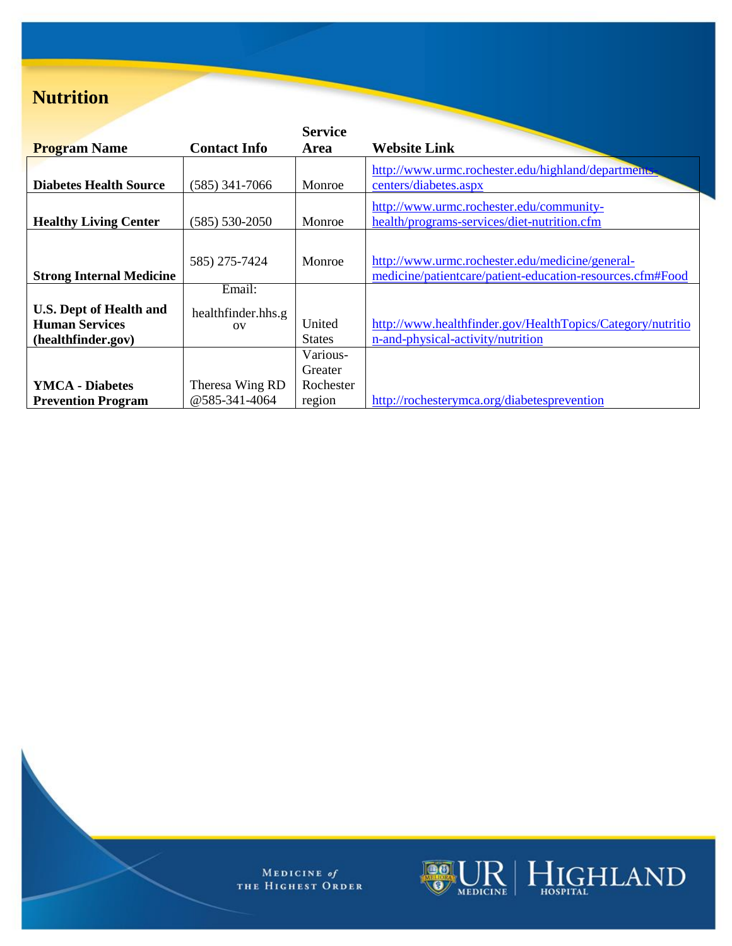### **Nutrition**

|                                 |                     | <b>Service</b> |                                                                                         |
|---------------------------------|---------------------|----------------|-----------------------------------------------------------------------------------------|
| <b>Program Name</b>             | <b>Contact Info</b> | Area           | <b>Website Link</b>                                                                     |
| <b>Diabetes Health Source</b>   | $(585)$ 341-7066    | Monroe         | http://www.urmc.rochester.edu/highland/departments<br>centers/diabetes.aspx             |
|                                 |                     |                |                                                                                         |
| <b>Healthy Living Center</b>    | $(585) 530 - 2050$  | Monroe         | http://www.urmc.rochester.edu/community-<br>health/programs-services/diet-nutrition.cfm |
|                                 |                     |                |                                                                                         |
|                                 | 585) 275-7424       | Monroe         | http://www.urmc.rochester.edu/medicine/general-                                         |
| <b>Strong Internal Medicine</b> |                     |                | medicine/patientcare/patient-education-resources.cfm#Food                               |
|                                 | Email:              |                |                                                                                         |
| <b>U.S. Dept of Health and</b>  | healthfinder.hhs.g  |                |                                                                                         |
| <b>Human Services</b>           | O <sub>V</sub>      | United         | http://www.healthfinder.gov/HealthTopics/Category/nutritio                              |
| (healthfinder.gov)              |                     | <b>States</b>  | n-and-physical-activity/nutrition                                                       |
|                                 |                     | Various-       |                                                                                         |
|                                 |                     | Greater        |                                                                                         |
| <b>YMCA</b> - Diabetes          | Theresa Wing RD     | Rochester      |                                                                                         |
| <b>Prevention Program</b>       | @585-341-4064       | region         | http://rochesterymca.org/diabetesprevention                                             |

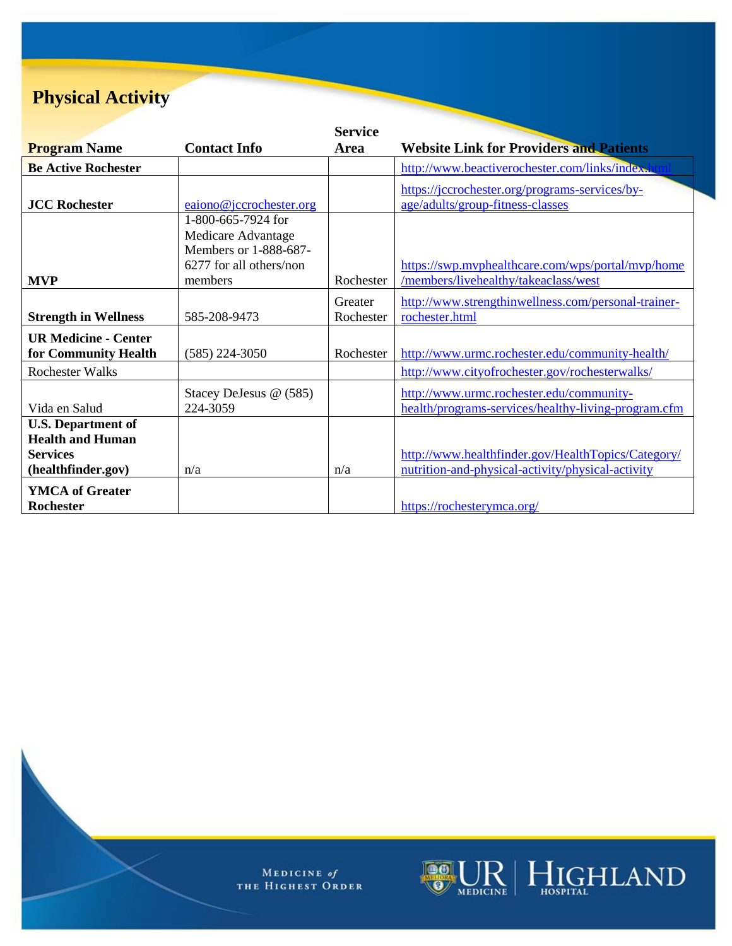# **Physical Activity**

|                             |                         | <b>Service</b> |                                                     |
|-----------------------------|-------------------------|----------------|-----------------------------------------------------|
| <b>Program Name</b>         | <b>Contact Info</b>     | Area           | <b>Website Link for Providers and Patients</b>      |
| <b>Be Active Rochester</b>  |                         |                | http://www.beactiverochester.com/links/index.k      |
|                             |                         |                | https://jccrochester.org/programs-services/by-      |
| <b>JCC Rochester</b>        | eaiono@jccrochester.org |                | age/adults/group-fitness-classes                    |
|                             | 1-800-665-7924 for      |                |                                                     |
|                             | Medicare Advantage      |                |                                                     |
|                             | Members or 1-888-687-   |                |                                                     |
|                             | 6277 for all others/non |                | https://swp.myphealthcare.com/wps/portal/myp/home   |
| <b>MVP</b>                  | members                 | Rochester      | /members/livehealthy/takeaclass/west                |
|                             |                         | Greater        | http://www.strengthinwellness.com/personal-trainer- |
| <b>Strength in Wellness</b> | 585-208-9473            | Rochester      | rochester.html                                      |
| <b>UR Medicine - Center</b> |                         |                |                                                     |
| for Community Health        | $(585)$ 224-3050        | Rochester      | http://www.urmc.rochester.edu/community-health/     |
| <b>Rochester Walks</b>      |                         |                | http://www.cityofrochester.gov/rochesterwalks/      |
|                             | Stacey DeJesus @ (585)  |                | http://www.urmc.rochester.edu/community-            |
| Vida en Salud               | 224-3059                |                | health/programs-services/healthy-living-program.cfm |
| <b>U.S. Department of</b>   |                         |                |                                                     |
| <b>Health and Human</b>     |                         |                |                                                     |
| <b>Services</b>             |                         |                | http://www.healthfinder.gov/HealthTopics/Category/  |
| (healthfinder.gov)          | n/a                     | n/a            | nutrition-and-physical-activity/physical-activity   |
| <b>YMCA</b> of Greater      |                         |                |                                                     |
| <b>Rochester</b>            |                         |                | https://rochesterymca.org/                          |

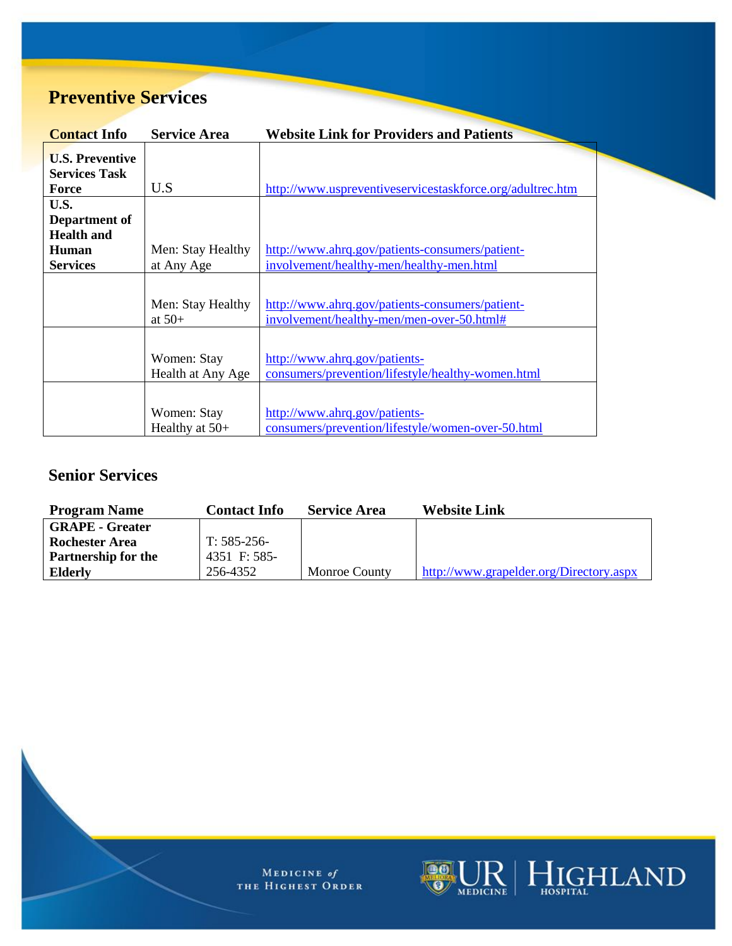## **Preventive Services**

| <b>Contact Info</b>    | <b>Service Area</b> | <b>Website Link for Providers and Patients</b>            |
|------------------------|---------------------|-----------------------------------------------------------|
| <b>U.S. Preventive</b> |                     |                                                           |
| <b>Services Task</b>   |                     |                                                           |
| Force                  | U.S                 | http://www.uspreventiveservicestaskforce.org/adultrec.htm |
| U.S.                   |                     |                                                           |
| Department of          |                     |                                                           |
| <b>Health and</b>      |                     |                                                           |
| Human                  | Men: Stay Healthy   | http://www.ahrq.gov/patients-consumers/patient-           |
| <b>Services</b>        | at Any Age          | involvement/healthy-men/healthy-men.html                  |
|                        |                     |                                                           |
|                        |                     |                                                           |
|                        | Men: Stay Healthy   | http://www.ahrq.gov/patients-consumers/patient-           |
|                        | at $50+$            | involvement/healthy-men/men-over-50.html#                 |
|                        |                     |                                                           |
|                        |                     |                                                           |
|                        | Women: Stay         | http://www.ahrq.gov/patients-                             |
|                        | Health at Any Age   | consumers/prevention/lifestyle/healthy-women.html         |
|                        |                     |                                                           |
|                        | Women: Stay         | http://www.ahrg.gov/patients-                             |
|                        | Healthy at $50+$    | consumers/prevention/lifestyle/women-over-50.html         |

#### **Senior Services**

| <b>Program Name</b>        | <b>Contact Info</b> | <b>Service Area</b>  | <b>Website Link</b>                     |
|----------------------------|---------------------|----------------------|-----------------------------------------|
| <b>GRAPE - Greater</b>     |                     |                      |                                         |
| <b>Rochester Area</b>      | $T: 585-256-$       |                      |                                         |
| <b>Partnership for the</b> | 4351 F: 585-        |                      |                                         |
| Elderly                    | 256-4352            | <b>Monroe County</b> | http://www.grapelder.org/Directory.aspx |

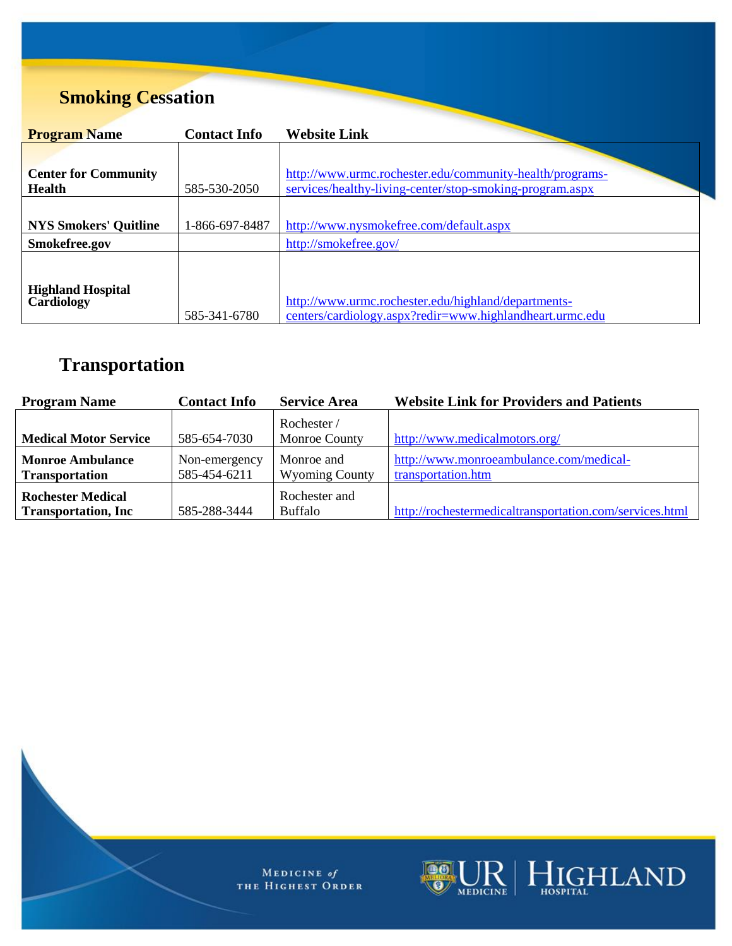# **Smoking Cessation**

| <b>Program Name</b>                    | <b>Contact Info</b> | <b>Website Link</b>                                                                                             |
|----------------------------------------|---------------------|-----------------------------------------------------------------------------------------------------------------|
|                                        |                     |                                                                                                                 |
| <b>Center for Community</b>            |                     | http://www.urmc.rochester.edu/community-health/programs-                                                        |
| <b>Health</b>                          | 585-530-2050        | services/healthy-living-center/stop-smoking-program.aspx                                                        |
|                                        |                     |                                                                                                                 |
| <b>NYS Smokers' Quitline</b>           | 1-866-697-8487      | http://www.nysmokefree.com/default.aspx                                                                         |
| Smokefree.gov                          |                     | http://smokefree.gov/                                                                                           |
|                                        |                     |                                                                                                                 |
| <b>Highland Hospital</b><br>Cardiology | 585-341-6780        | http://www.urmc.rochester.edu/highland/departments-<br>centers/cardiology.aspx?redir=www.highlandheart.urmc.edu |

# **Transportation**

| <b>Program Name</b>                                     | <b>Contact Info</b>           | <b>Service Area</b>                 | <b>Website Link for Providers and Patients</b>                |
|---------------------------------------------------------|-------------------------------|-------------------------------------|---------------------------------------------------------------|
| <b>Medical Motor Service</b>                            | 585-654-7030                  | Rochester/<br>Monroe County         | http://www.medicalmotors.org/                                 |
| <b>Monroe Ambulance</b><br><b>Transportation</b>        | Non-emergency<br>585-454-6211 | Monroe and<br><b>Wyoming County</b> | http://www.monroeambulance.com/medical-<br>transportation.htm |
| <b>Rochester Medical</b><br><b>Transportation, Inc.</b> | 585-288-3444                  | Rochester and<br><b>Buffalo</b>     | http://rochestermedicaltransportation.com/services.html       |